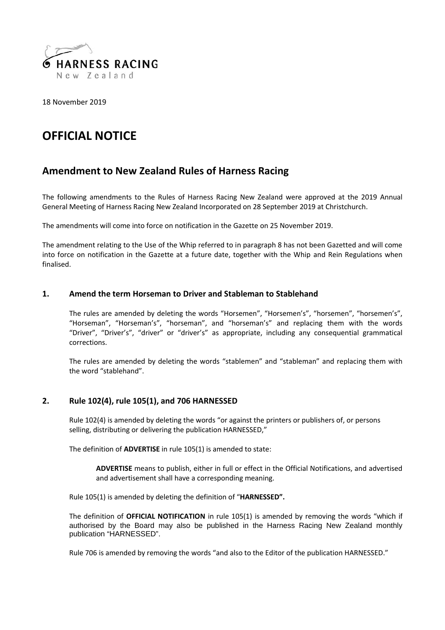

18 November 2019

# **OFFICIAL NOTICE**

## **Amendment to New Zealand Rules of Harness Racing**

The following amendments to the Rules of Harness Racing New Zealand were approved at the 2019 Annual General Meeting of Harness Racing New Zealand Incorporated on 28 September 2019 at Christchurch.

The amendments will come into force on notification in the Gazette on 25 November 2019.

The amendment relating to the Use of the Whip referred to in paragraph 8 has not been Gazetted and will come into force on notification in the Gazette at a future date, together with the Whip and Rein Regulations when finalised.

### **1. Amend the term Horseman to Driver and Stableman to Stablehand**

The rules are amended by deleting the words "Horsemen", "Horsemen's", "horsemen", "horsemen's", "Horseman", "Horseman's", "horseman", and "horseman's" and replacing them with the words "Driver", "Driver's", "driver" or "driver's" as appropriate, including any consequential grammatical corrections.

The rules are amended by deleting the words "stablemen" and "stableman" and replacing them with the word "stablehand".

### **2. Rule 102(4), rule 105(1), and 706 HARNESSED**

Rule 102(4) is amended by deleting the words "or against the printers or publishers of, or persons selling, distributing or delivering the publication HARNESSED,"

The definition of **ADVERTISE** in rule 105(1) is amended to state:

**ADVERTISE** means to publish, either in full or effect in the Official Notifications, and advertised and advertisement shall have a corresponding meaning.

Rule 105(1) is amended by deleting the definition of "**HARNESSED".**

The definition of **OFFICIAL NOTIFICATION** in rule 105(1) is amended by removing the words "which if authorised by the Board may also be published in the Harness Racing New Zealand monthly publication "HARNESSED".

Rule 706 is amended by removing the words "and also to the Editor of the publication HARNESSED."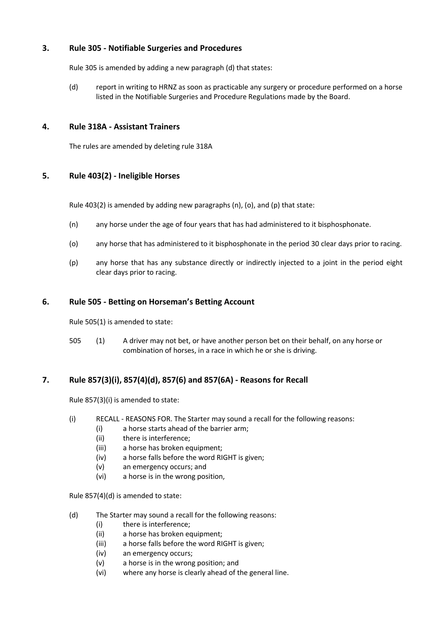### **3. Rule 305 - Notifiable Surgeries and Procedures**

Rule 305 is amended by adding a new paragraph (d) that states:

(d) report in writing to HRNZ as soon as practicable any surgery or procedure performed on a horse listed in the Notifiable Surgeries and Procedure Regulations made by the Board.

### **4. Rule 318A - Assistant Trainers**

The rules are amended by deleting rule 318A

### **5. Rule 403(2) - Ineligible Horses**

Rule 403(2) is amended by adding new paragraphs (n), (o), and (p) that state:

- (n) any horse under the age of four years that has had administered to it bisphosphonate.
- (o) any horse that has administered to it bisphosphonate in the period 30 clear days prior to racing.
- (p) any horse that has any substance directly or indirectly injected to a joint in the period eight clear days prior to racing.

### **6. Rule 505 - Betting on Horseman's Betting Account**

Rule 505(1) is amended to state:

505 (1) A driver may not bet, or have another person bet on their behalf, on any horse or combination of horses, in a race in which he or she is driving.

### **7. Rule 857(3)(i), 857(4)(d), 857(6) and 857(6A) - Reasons for Recall**

Rule 857(3)(i) is amended to state:

- (i) RECALL REASONS FOR. The Starter may sound a recall for the following reasons:
	- (i) a horse starts ahead of the barrier arm;
	- (ii) there is interference;
	- (iii) a horse has broken equipment;
	- (iv) a horse falls before the word RIGHT is given;
	- (v) an emergency occurs; and
	- (vi) a horse is in the wrong position,

Rule 857(4)(d) is amended to state:

- (d) The Starter may sound a recall for the following reasons:
	- (i) there is interference;
	- (ii) a horse has broken equipment;
	- (iii) a horse falls before the word RIGHT is given;
	- (iv) an emergency occurs;
	- (v) a horse is in the wrong position; and
	- (vi) where any horse is clearly ahead of the general line.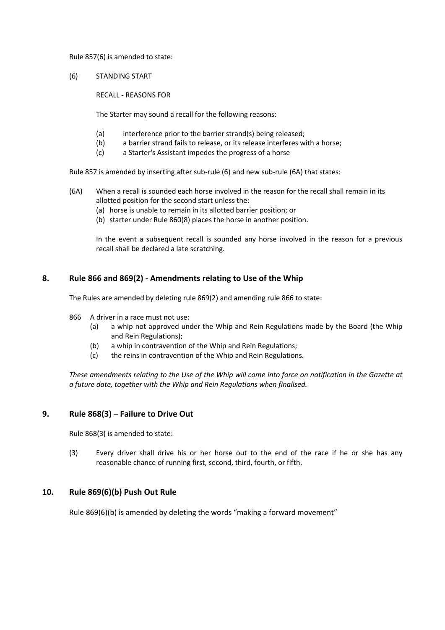### Rule 857(6) is amended to state:

(6) STANDING START

RECALL - REASONS FOR

The Starter may sound a recall for the following reasons:

- (a) interference prior to the barrier strand(s) being released;
- (b) a barrier strand fails to release, or its release interferes with a horse;
- (c) a Starter's Assistant impedes the progress of a horse

Rule 857 is amended by inserting after sub-rule (6) and new sub-rule (6A) that states:

- (6A) When a recall is sounded each horse involved in the reason for the recall shall remain in its allotted position for the second start unless the:
	- (a) horse is unable to remain in its allotted barrier position; or
	- (b) starter under Rule 860(8) places the horse in another position.

In the event a subsequent recall is sounded any horse involved in the reason for a previous recall shall be declared a late scratching.

### **8. Rule 866 and 869(2) - Amendments relating to Use of the Whip**

The Rules are amended by deleting rule 869(2) and amending rule 866 to state:

- 866 A driver in a race must not use:
	- (a) a whip not approved under the Whip and Rein Regulations made by the Board (the Whip and Rein Regulations);
	- (b) a whip in contravention of the Whip and Rein Regulations;
	- (c) the reins in contravention of the Whip and Rein Regulations.

*These amendments relating to the Use of the Whip will come into force on notification in the Gazette at a future date, together with the Whip and Rein Regulations when finalised.*

### **9. Rule 868(3)** *–* **Failure to Drive Out**

Rule 868(3) is amended to state:

(3) Every driver shall drive his or her horse out to the end of the race if he or she has any reasonable chance of running first, second, third, fourth, or fifth.

### **10. Rule 869(6)(b) Push Out Rule**

Rule 869(6)(b) is amended by deleting the words "making a forward movement"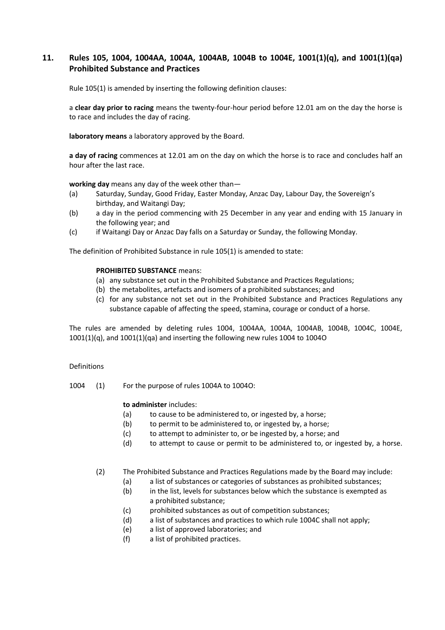### **11. Rules 105, 1004, 1004AA, 1004A, 1004AB, 1004B to 1004E, 1001(1)(q), and 1001(1)(qa) Prohibited Substance and Practices**

Rule 105(1) is amended by inserting the following definition clauses:

a **clear day prior to racing** means the twenty-four-hour period before 12.01 am on the day the horse is to race and includes the day of racing.

**laboratory means** a laboratory approved by the Board.

**a day of racing** commences at 12.01 am on the day on which the horse is to race and concludes half an hour after the last race.

**working day** means any day of the week other than—

- (a) Saturday, Sunday, Good Friday, Easter Monday, Anzac Day, Labour Day, the Sovereign's birthday, and Waitangi Day;
- (b) a day in the period commencing with 25 December in any year and ending with 15 January in the following year; and
- (c) if Waitangi Day or Anzac Day falls on a Saturday or Sunday, the following Monday.

The definition of Prohibited Substance in rule 105(1) is amended to state:

#### **PROHIBITED SUBSTANCE** means:

- (a) any substance set out in the Prohibited Substance and Practices Regulations;
- (b) the metabolites, artefacts and isomers of a prohibited substances; and
- (c) for any substance not set out in the Prohibited Substance and Practices Regulations any substance capable of affecting the speed, stamina, courage or conduct of a horse.

The rules are amended by deleting rules 1004, 1004AA, 1004A, 1004AB, 1004B, 1004C, 1004E, 1001(1)(q), and 1001(1)(qa) and inserting the following new rules 1004 to 1004O

#### Definitions

1004 (1) For the purpose of rules 1004A to 1004O:

#### **to administer** includes:

- (a) to cause to be administered to, or ingested by, a horse;
- (b) to permit to be administered to, or ingested by, a horse;
- (c) to attempt to administer to, or be ingested by, a horse; and
- (d) to attempt to cause or permit to be administered to, or ingested by, a horse.

(2) The Prohibited Substance and Practices Regulations made by the Board may include:

- (a) a list of substances or categories of substances as prohibited substances;
- (b) in the list, levels for substances below which the substance is exempted as a prohibited substance;
- (c) prohibited substances as out of competition substances;
- (d) a list of substances and practices to which rule 1004C shall not apply;
- (e) a list of approved laboratories; and
- (f) a list of prohibited practices.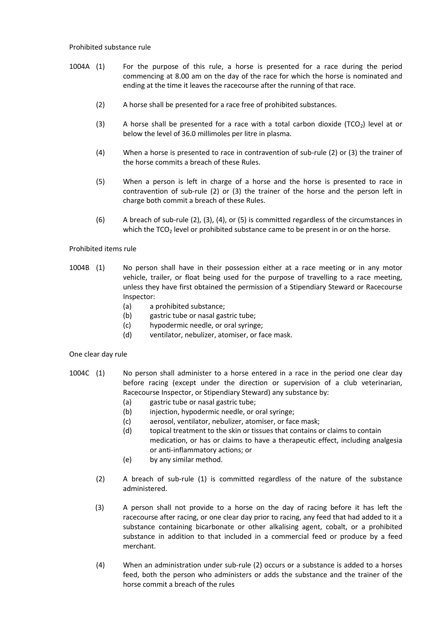#### Prohibited substance rule

- 1004A (1) For the purpose of this rule, a horse is presented for a race during the period commencing at 8.00 am on the day of the race for which the horse is nominated and ending at the time it leaves the racecourse after the running of that race.
	- (2) A horse shall be presented for a race free of prohibited substances.
	- (3) A horse shall be presented for a race with a total carbon dioxide (TCO<sub>2</sub>) level at or below the level of 36.0 millimoles per litre in plasma.
	- (4) When a horse is presented to race in contravention of sub-rule (2) or (3) the trainer of the horse commits a breach of these Rules.
	- (5) When a person is left in charge of a horse and the horse is presented to race in contravention of sub-rule (2) or (3) the trainer of the horse and the person left in charge both commit a breach of these Rules.
	- (6) A breach of sub-rule (2), (3), (4), or (5) is committed regardless of the circumstances in which the  $TCO<sub>2</sub>$  level or prohibited substance came to be present in or on the horse.

#### Prohibited items rule

- 1004B (1) No person shall have in their possession either at a race meeting or in any motor vehicle, trailer, or float being used for the purpose of travelling to a race meeting, unless they have first obtained the permission of a Stipendiary Steward or Racecourse Inspector:
	- (a) a prohibited substance;
	- (b) gastric tube or nasal gastric tube;
	- (c) hypodermic needle, or oral syringe;
	- (d) ventilator, nebulizer, atomiser, or face mask.

#### One clear day rule

- 1004C (1) No person shall administer to a horse entered in a race in the period one clear day before racing (except under the direction or supervision of a club veterinarian, Racecourse Inspector, or Stipendiary Steward) any substance by:
	- (a) gastric tube or nasal gastric tube;
	- (b) injection, hypodermic needle, or oral syringe;
	- (c) aerosol, ventilator, nebulizer, atomiser, or face mask;
	- (d) topical treatment to the skin or tissues that contains or claims to contain medication, or has or claims to have a therapeutic effect, including analgesia or anti-inflammatory actions; or
	- (e) by any similar method.
	- (2) A breach of sub-rule (1) is committed regardless of the nature of the substance administered.
	- (3) A person shall not provide to a horse on the day of racing before it has left the racecourse after racing, or one clear day prior to racing, any feed that had added to it a substance containing bicarbonate or other alkalising agent, cobalt, or a prohibited substance in addition to that included in a commercial feed or produce by a feed merchant.
	- (4) When an administration under sub-rule (2) occurs or a substance is added to a horses feed, both the person who administers or adds the substance and the trainer of the horse commit a breach of the rules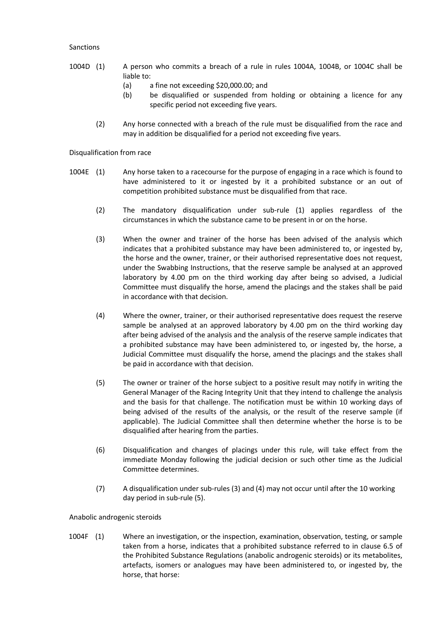#### Sanctions

- 1004D (1) A person who commits a breach of a rule in rules 1004A, 1004B, or 1004C shall be liable to:
	- (a) a fine not exceeding \$20,000.00; and
	- (b) be disqualified or suspended from holding or obtaining a licence for any specific period not exceeding five years.
	- (2) Any horse connected with a breach of the rule must be disqualified from the race and may in addition be disqualified for a period not exceeding five years.

Disqualification from race

- 1004E (1) Any horse taken to a racecourse for the purpose of engaging in a race which is found to have administered to it or ingested by it a prohibited substance or an out of competition prohibited substance must be disqualified from that race.
	- (2) The mandatory disqualification under sub-rule (1) applies regardless of the circumstances in which the substance came to be present in or on the horse.
	- (3) When the owner and trainer of the horse has been advised of the analysis which indicates that a prohibited substance may have been administered to, or ingested by, the horse and the owner, trainer, or their authorised representative does not request, under the Swabbing Instructions, that the reserve sample be analysed at an approved laboratory by 4.00 pm on the third working day after being so advised, a Judicial Committee must disqualify the horse, amend the placings and the stakes shall be paid in accordance with that decision.
	- (4) Where the owner, trainer, or their authorised representative does request the reserve sample be analysed at an approved laboratory by 4.00 pm on the third working day after being advised of the analysis and the analysis of the reserve sample indicates that a prohibited substance may have been administered to, or ingested by, the horse, a Judicial Committee must disqualify the horse, amend the placings and the stakes shall be paid in accordance with that decision.
	- (5) The owner or trainer of the horse subject to a positive result may notify in writing the General Manager of the Racing Integrity Unit that they intend to challenge the analysis and the basis for that challenge. The notification must be within 10 working days of being advised of the results of the analysis, or the result of the reserve sample (if applicable). The Judicial Committee shall then determine whether the horse is to be disqualified after hearing from the parties.
	- (6) Disqualification and changes of placings under this rule, will take effect from the immediate Monday following the judicial decision or such other time as the Judicial Committee determines.
	- (7) A disqualification under sub-rules (3) and (4) may not occur until after the 10 working day period in sub-rule (5).

Anabolic androgenic steroids

1004F (1) Where an investigation, or the inspection, examination, observation, testing, or sample taken from a horse, indicates that a prohibited substance referred to in clause 6.5 of the Prohibited Substance Regulations (anabolic androgenic steroids) or its metabolites, artefacts, isomers or analogues may have been administered to, or ingested by, the horse, that horse: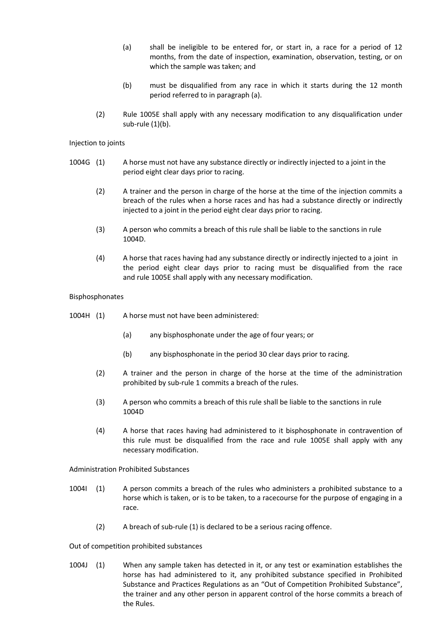- (a) shall be ineligible to be entered for, or start in, a race for a period of 12 months, from the date of inspection, examination, observation, testing, or on which the sample was taken; and
- (b) must be disqualified from any race in which it starts during the 12 month period referred to in paragraph (a).
- (2) Rule 1005E shall apply with any necessary modification to any disqualification under sub-rule (1)(b).

### Injection to joints

- 1004G (1) A horse must not have any substance directly or indirectly injected to a joint in the period eight clear days prior to racing.
	- (2) A trainer and the person in charge of the horse at the time of the injection commits a breach of the rules when a horse races and has had a substance directly or indirectly injected to a joint in the period eight clear days prior to racing.
	- (3) A person who commits a breach of this rule shall be liable to the sanctions in rule 1004D.
	- (4) A horse that races having had any substance directly or indirectly injected to a joint in the period eight clear days prior to racing must be disqualified from the race and rule 1005E shall apply with any necessary modification.

#### Bisphosphonates

- 1004H (1) A horse must not have been administered:
	- (a) any bisphosphonate under the age of four years; or
	- (b) any bisphosphonate in the period 30 clear days prior to racing.
	- (2) A trainer and the person in charge of the horse at the time of the administration prohibited by sub-rule 1 commits a breach of the rules.
	- (3) A person who commits a breach of this rule shall be liable to the sanctions in rule 1004D
	- (4) A horse that races having had administered to it bisphosphonate in contravention of this rule must be disqualified from the race and rule 1005E shall apply with any necessary modification.

Administration Prohibited Substances

- 1004I (1) A person commits a breach of the rules who administers a prohibited substance to a horse which is taken, or is to be taken, to a racecourse for the purpose of engaging in a race.
	- (2) A breach of sub-rule (1) is declared to be a serious racing offence.

Out of competition prohibited substances

1004J (1) When any sample taken has detected in it, or any test or examination establishes the horse has had administered to it, any prohibited substance specified in Prohibited Substance and Practices Regulations as an "Out of Competition Prohibited Substance", the trainer and any other person in apparent control of the horse commits a breach of the Rules.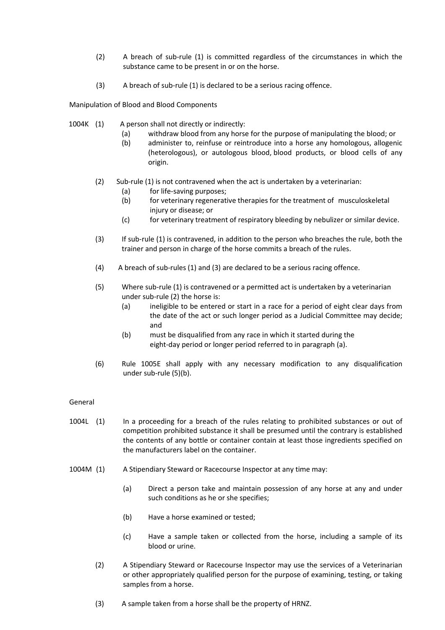- (2) A breach of sub-rule (1) is committed regardless of the circumstances in which the substance came to be present in or on the horse.
- (3) A breach of sub-rule (1) is declared to be a serious racing offence.

Manipulation of Blood and Blood Components

- 1004K (1) A person shall not directly or indirectly:
	- (a) withdraw blood from any horse for the purpose of manipulating the blood; or
	- (b) administer to, reinfuse or reintroduce into a horse any homologous, allogenic (heterologous), or autologous blood, blood products, or blood cells of any origin.
	- (2) Sub-rule (1) is not contravened when the act is undertaken by a veterinarian:
		- (a) for life-saving purposes;
		- (b) for veterinary regenerative therapies for the treatment of musculoskeletal injury or disease; or
		- (c) for veterinary treatment of respiratory bleeding by nebulizer or similar device.
	- (3) If sub-rule (1) is contravened, in addition to the person who breaches the rule, both the trainer and person in charge of the horse commits a breach of the rules.
	- (4) A breach of sub-rules (1) and (3) are declared to be a serious racing offence.
	- (5) Where sub-rule (1) is contravened or a permitted act is undertaken by a veterinarian under sub-rule (2) the horse is:
		- (a) ineligible to be entered or start in a race for a period of eight clear days from the date of the act or such longer period as a Judicial Committee may decide; and
		- (b) must be disqualified from any race in which it started during the eight-day period or longer period referred to in paragraph (a).
	- (6) Rule 1005E shall apply with any necessary modification to any disqualification under sub-rule (5)(b).

### General

- 1004L (1) In a proceeding for a breach of the rules relating to prohibited substances or out of competition prohibited substance it shall be presumed until the contrary is established the contents of any bottle or container contain at least those ingredients specified on the manufacturers label on the container.
- 1004M (1) A Stipendiary Steward or Racecourse Inspector at any time may:
	- (a) Direct a person take and maintain possession of any horse at any and under such conditions as he or she specifies;
	- (b) Have a horse examined or tested;
	- (c) Have a sample taken or collected from the horse, including a sample of its blood or urine.
	- (2) A Stipendiary Steward or Racecourse Inspector may use the services of a Veterinarian or other appropriately qualified person for the purpose of examining, testing, or taking samples from a horse.
	- (3) A sample taken from a horse shall be the property of HRNZ.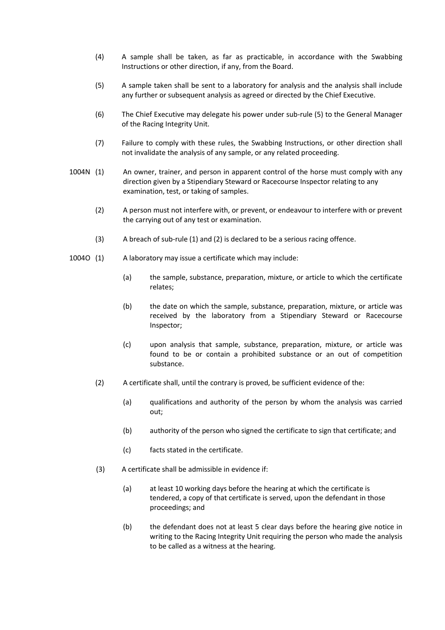- (4) A sample shall be taken, as far as practicable, in accordance with the Swabbing Instructions or other direction, if any, from the Board.
- (5) A sample taken shall be sent to a laboratory for analysis and the analysis shall include any further or subsequent analysis as agreed or directed by the Chief Executive.
- (6) The Chief Executive may delegate his power under sub-rule (5) to the General Manager of the Racing Integrity Unit.
- (7) Failure to comply with these rules, the Swabbing Instructions, or other direction shall not invalidate the analysis of any sample, or any related proceeding.
- 1004N (1) An owner, trainer, and person in apparent control of the horse must comply with any direction given by a Stipendiary Steward or Racecourse Inspector relating to any examination, test, or taking of samples.
	- (2) A person must not interfere with, or prevent, or endeavour to interfere with or prevent the carrying out of any test or examination.
	- (3) A breach of sub-rule (1) and (2) is declared to be a serious racing offence.
- 1004O (1) A laboratory may issue a certificate which may include:
	- (a) the sample, substance, preparation, mixture, or article to which the certificate relates;
	- (b) the date on which the sample, substance, preparation, mixture, or article was received by the laboratory from a Stipendiary Steward or Racecourse Inspector;
	- (c) upon analysis that sample, substance, preparation, mixture, or article was found to be or contain a prohibited substance or an out of competition substance.
	- (2) A certificate shall, until the contrary is proved, be sufficient evidence of the:
		- (a) qualifications and authority of the person by whom the analysis was carried out;
		- (b) authority of the person who signed the certificate to sign that certificate; and
		- (c) facts stated in the certificate.
	- (3) A certificate shall be admissible in evidence if:
		- (a) at least 10 working days before the hearing at which the certificate is tendered, a copy of that certificate is served, upon the defendant in those proceedings; and
		- (b) the defendant does not at least 5 clear days before the hearing give notice in writing to the Racing Integrity Unit requiring the person who made the analysis to be called as a witness at the hearing.